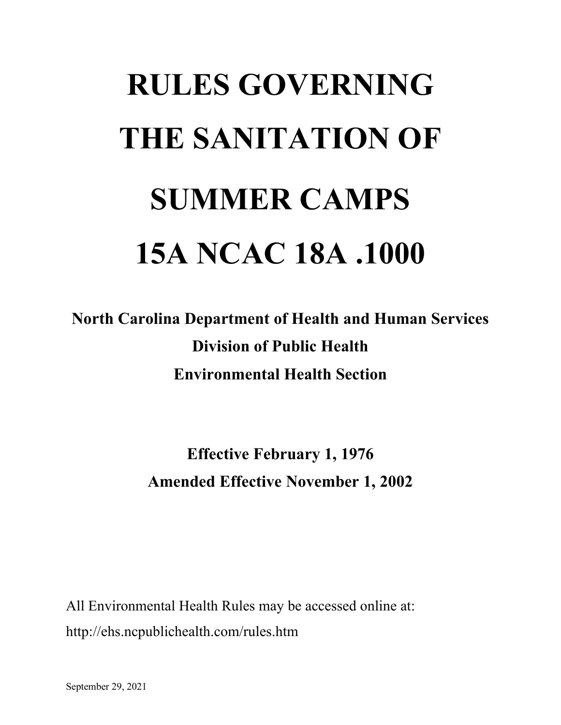# **RULES GOVERNING THE SANITATION OF SUMMER CAMPS 15A NCAC 18A .1000**

**North Carolina Department of Health and Human Services Division of Public Health Environmental Health Section**

> **Effective February 1, 1976 Amended Effective November 1, 2002**

All Environmental Health Rules may be accessed online at: http://ehs.ncpublichealth.com/rules.htm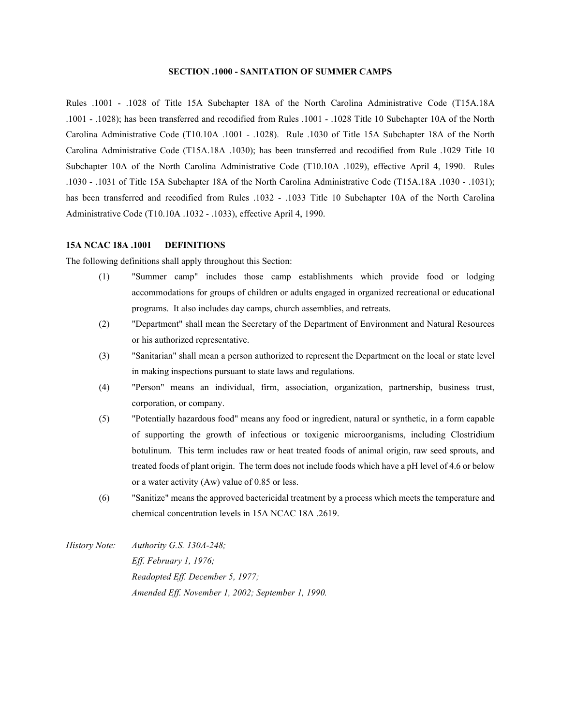### **SECTION .1000 - SANITATION OF SUMMER CAMPS**

Rules .1001 - .1028 of Title 15A Subchapter 18A of the North Carolina Administrative Code (T15A.18A .1001 - .1028); has been transferred and recodified from Rules .1001 - .1028 Title 10 Subchapter 10A of the North Carolina Administrative Code (T10.10A .1001 - .1028). Rule .1030 of Title 15A Subchapter 18A of the North Carolina Administrative Code (T15A.18A .1030); has been transferred and recodified from Rule .1029 Title 10 Subchapter 10A of the North Carolina Administrative Code (T10.10A .1029), effective April 4, 1990. Rules .1030 - .1031 of Title 15A Subchapter 18A of the North Carolina Administrative Code (T15A.18A .1030 - .1031); has been transferred and recodified from Rules .1032 - .1033 Title 10 Subchapter 10A of the North Carolina Administrative Code (T10.10A .1032 - .1033), effective April 4, 1990.

### **15A NCAC 18A .1001 DEFINITIONS**

The following definitions shall apply throughout this Section:

- (1) "Summer camp" includes those camp establishments which provide food or lodging accommodations for groups of children or adults engaged in organized recreational or educational programs. It also includes day camps, church assemblies, and retreats.
- (2) "Department" shall mean the Secretary of the Department of Environment and Natural Resources or his authorized representative.
- (3) "Sanitarian" shall mean a person authorized to represent the Department on the local or state level in making inspections pursuant to state laws and regulations.
- (4) "Person" means an individual, firm, association, organization, partnership, business trust, corporation, or company.
- (5) "Potentially hazardous food" means any food or ingredient, natural or synthetic, in a form capable of supporting the growth of infectious or toxigenic microorganisms, including Clostridium botulinum. This term includes raw or heat treated foods of animal origin, raw seed sprouts, and treated foods of plant origin. The term does not include foods which have a pH level of 4.6 or below or a water activity (Aw) value of 0.85 or less.
- (6) "Sanitize" means the approved bactericidal treatment by a process which meets the temperature and chemical concentration levels in 15A NCAC 18A .2619.
- *History Note: Authority G.S. 130A-248; Eff. February 1, 1976; Readopted Eff. December 5, 1977; Amended Eff. November 1, 2002; September 1, 1990.*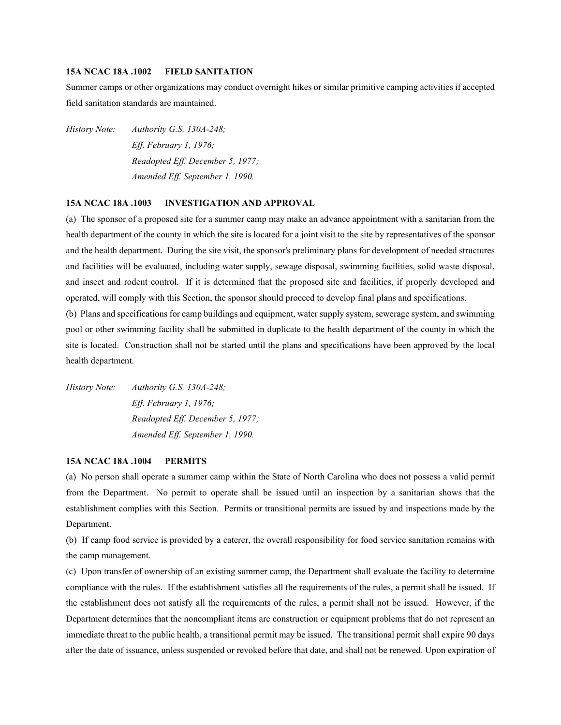# **15A NCAC 18A .1002 FIELD SANITATION**

Summer camps or other organizations may conduct overnight hikes or similar primitive camping activities if accepted field sanitation standards are maintained.

*History Note: Authority G.S. 130A-248; Eff. February 1, 1976; Readopted Eff. December 5, 1977; Amended Eff. September 1, 1990.*

# **15A NCAC 18A .1003 INVESTIGATION AND APPROVAL**

(a) The sponsor of a proposed site for a summer camp may make an advance appointment with a sanitarian from the health department of the county in which the site is located for a joint visit to the site by representatives of the sponsor and the health department. During the site visit, the sponsor's preliminary plans for development of needed structures and facilities will be evaluated, including water supply, sewage disposal, swimming facilities, solid waste disposal, and insect and rodent control. If it is determined that the proposed site and facilities, if properly developed and operated, will comply with this Section, the sponsor should proceed to develop final plans and specifications.

(b) Plans and specifications for camp buildings and equipment, water supply system, sewerage system, and swimming pool or other swimming facility shall be submitted in duplicate to the health department of the county in which the site is located. Construction shall not be started until the plans and specifications have been approved by the local health department.

*History Note: Authority G.S. 130A-248; Eff. February 1, 1976; Readopted Eff. December 5, 1977; Amended Eff. September 1, 1990.*

### **15A NCAC 18A .1004 PERMITS**

(a) No person shall operate a summer camp within the State of North Carolina who does not possess a valid permit from the Department. No permit to operate shall be issued until an inspection by a sanitarian shows that the establishment complies with this Section. Permits or transitional permits are issued by and inspections made by the Department.

(b) If camp food service is provided by a caterer, the overall responsibility for food service sanitation remains with the camp management.

(c) Upon transfer of ownership of an existing summer camp, the Department shall evaluate the facility to determine compliance with the rules. If the establishment satisfies all the requirements of the rules, a permit shall be issued. If the establishment does not satisfy all the requirements of the rules, a permit shall not be issued. However, if the Department determines that the noncompliant items are construction or equipment problems that do not represent an immediate threat to the public health, a transitional permit may be issued. The transitional permit shall expire 90 days after the date of issuance, unless suspended or revoked before that date, and shall not be renewed. Upon expiration of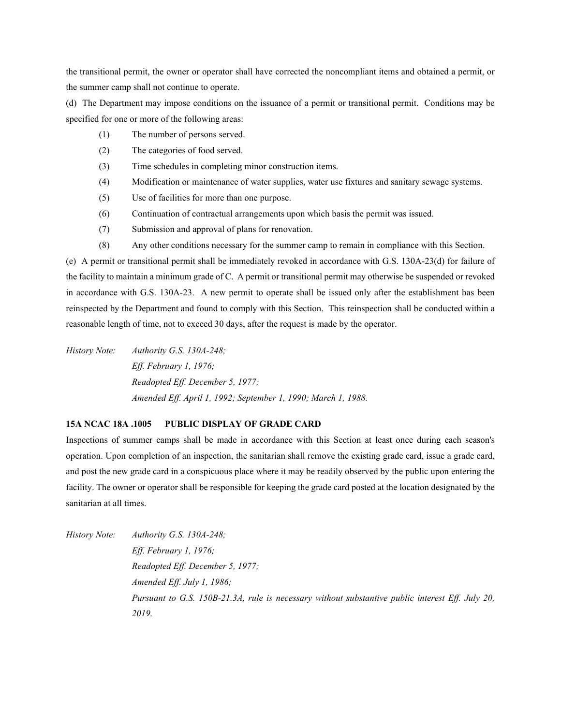the transitional permit, the owner or operator shall have corrected the noncompliant items and obtained a permit, or the summer camp shall not continue to operate.

(d) The Department may impose conditions on the issuance of a permit or transitional permit. Conditions may be specified for one or more of the following areas:

- (1) The number of persons served.
- (2) The categories of food served.
- (3) Time schedules in completing minor construction items.
- (4) Modification or maintenance of water supplies, water use fixtures and sanitary sewage systems.
- (5) Use of facilities for more than one purpose.
- (6) Continuation of contractual arrangements upon which basis the permit was issued.
- (7) Submission and approval of plans for renovation.
- (8) Any other conditions necessary for the summer camp to remain in compliance with this Section.

(e) A permit or transitional permit shall be immediately revoked in accordance with G.S. 130A-23(d) for failure of the facility to maintain a minimum grade of C. A permit or transitional permit may otherwise be suspended or revoked in accordance with G.S. 130A-23. A new permit to operate shall be issued only after the establishment has been reinspected by the Department and found to comply with this Section. This reinspection shall be conducted within a reasonable length of time, not to exceed 30 days, after the request is made by the operator.

*History Note: Authority G.S. 130A-248; Eff. February 1, 1976; Readopted Eff. December 5, 1977; Amended Eff. April 1, 1992; September 1, 1990; March 1, 1988.*

# **15A NCAC 18A .1005 PUBLIC DISPLAY OF GRADE CARD**

Inspections of summer camps shall be made in accordance with this Section at least once during each season's operation. Upon completion of an inspection, the sanitarian shall remove the existing grade card, issue a grade card, and post the new grade card in a conspicuous place where it may be readily observed by the public upon entering the facility. The owner or operator shall be responsible for keeping the grade card posted at the location designated by the sanitarian at all times.

*History Note: Authority G.S. 130A-248; Eff. February 1, 1976; Readopted Eff. December 5, 1977; Amended Eff. July 1, 1986; Pursuant to G.S. 150B-21.3A, rule is necessary without substantive public interest Eff. July 20, 2019.*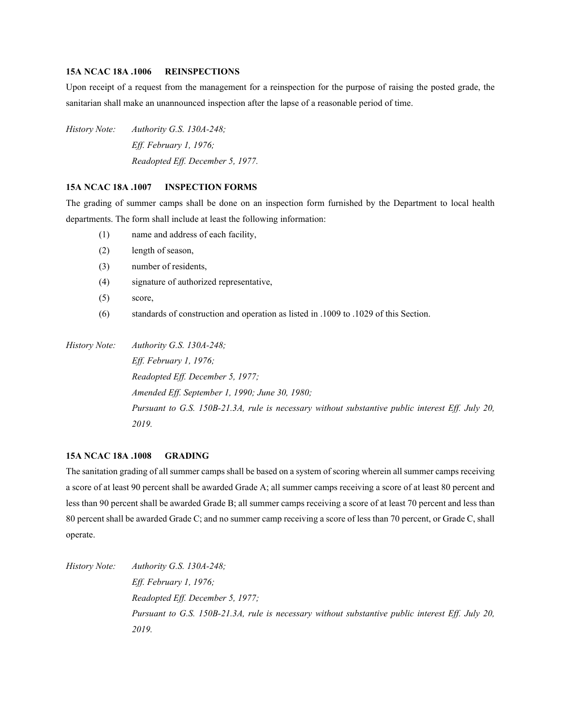# **15A NCAC 18A .1006 REINSPECTIONS**

Upon receipt of a request from the management for a reinspection for the purpose of raising the posted grade, the sanitarian shall make an unannounced inspection after the lapse of a reasonable period of time.

*History Note: Authority G.S. 130A-248; Eff. February 1, 1976; Readopted Eff. December 5, 1977.*

## **15A NCAC 18A .1007 INSPECTION FORMS**

The grading of summer camps shall be done on an inspection form furnished by the Department to local health departments. The form shall include at least the following information:

- (1) name and address of each facility,
- (2) length of season,
- (3) number of residents,
- (4) signature of authorized representative,
- (5) score,
- (6) standards of construction and operation as listed in .1009 to .1029 of this Section.

*History Note: Authority G.S. 130A-248; Eff. February 1, 1976; Readopted Eff. December 5, 1977; Amended Eff. September 1, 1990; June 30, 1980; Pursuant to G.S. 150B-21.3A, rule is necessary without substantive public interest Eff. July 20, 2019.*

# **15A NCAC 18A .1008 GRADING**

The sanitation grading of all summer camps shall be based on a system of scoring wherein all summer camps receiving a score of at least 90 percent shall be awarded Grade A; all summer camps receiving a score of at least 80 percent and less than 90 percent shall be awarded Grade B; all summer camps receiving a score of at least 70 percent and less than 80 percent shall be awarded Grade C; and no summer camp receiving a score of less than 70 percent, or Grade C, shall operate.

*History Note: Authority G.S. 130A-248; Eff. February 1, 1976; Readopted Eff. December 5, 1977; Pursuant to G.S. 150B-21.3A, rule is necessary without substantive public interest Eff. July 20, 2019.*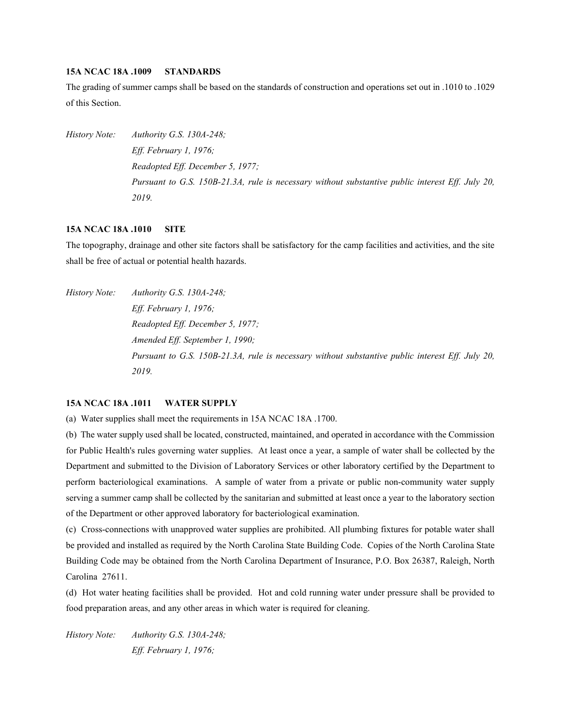# **15A NCAC 18A .1009 STANDARDS**

The grading of summer camps shall be based on the standards of construction and operations set out in .1010 to .1029 of this Section.

*History Note: Authority G.S. 130A-248; Eff. February 1, 1976; Readopted Eff. December 5, 1977; Pursuant to G.S. 150B-21.3A, rule is necessary without substantive public interest Eff. July 20, 2019.*

### **15A NCAC 18A .1010 SITE**

The topography, drainage and other site factors shall be satisfactory for the camp facilities and activities, and the site shall be free of actual or potential health hazards.

*History Note: Authority G.S. 130A-248; Eff. February 1, 1976; Readopted Eff. December 5, 1977; Amended Eff. September 1, 1990; Pursuant to G.S. 150B-21.3A, rule is necessary without substantive public interest Eff. July 20, 2019.*

## **15A NCAC 18A .1011 WATER SUPPLY**

(a) Water supplies shall meet the requirements in 15A NCAC 18A .1700.

(b) The water supply used shall be located, constructed, maintained, and operated in accordance with the Commission for Public Health's rules governing water supplies. At least once a year, a sample of water shall be collected by the Department and submitted to the Division of Laboratory Services or other laboratory certified by the Department to perform bacteriological examinations. A sample of water from a private or public non-community water supply serving a summer camp shall be collected by the sanitarian and submitted at least once a year to the laboratory section of the Department or other approved laboratory for bacteriological examination.

(c) Cross-connections with unapproved water supplies are prohibited. All plumbing fixtures for potable water shall be provided and installed as required by the North Carolina State Building Code. Copies of the North Carolina State Building Code may be obtained from the North Carolina Department of Insurance, P.O. Box 26387, Raleigh, North Carolina 27611.

(d) Hot water heating facilities shall be provided. Hot and cold running water under pressure shall be provided to food preparation areas, and any other areas in which water is required for cleaning.

*History Note: Authority G.S. 130A-248; Eff. February 1, 1976;*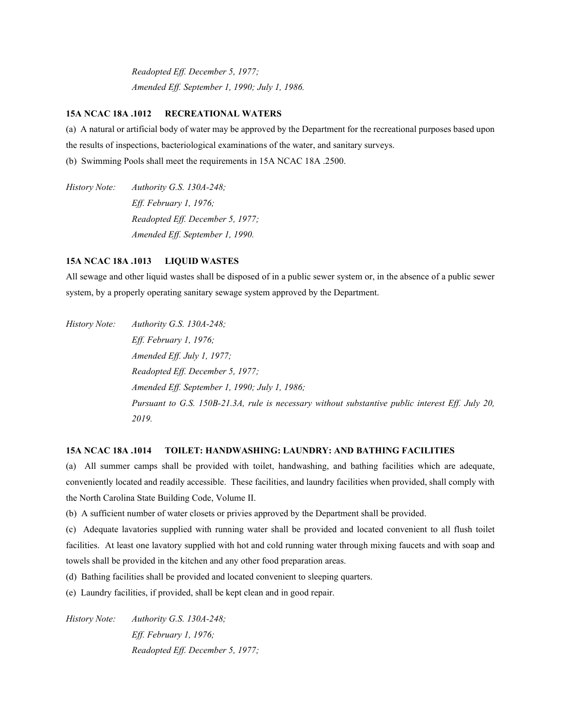*Readopted Eff. December 5, 1977; Amended Eff. September 1, 1990; July 1, 1986.*

### **15A NCAC 18A .1012 RECREATIONAL WATERS**

(a) A natural or artificial body of water may be approved by the Department for the recreational purposes based upon the results of inspections, bacteriological examinations of the water, and sanitary surveys.

(b) Swimming Pools shall meet the requirements in 15A NCAC 18A .2500.

*History Note: Authority G.S. 130A-248; Eff. February 1, 1976; Readopted Eff. December 5, 1977; Amended Eff. September 1, 1990.*

# **15A NCAC 18A .1013 LIQUID WASTES**

All sewage and other liquid wastes shall be disposed of in a public sewer system or, in the absence of a public sewer system, by a properly operating sanitary sewage system approved by the Department.

*History Note: Authority G.S. 130A-248; Eff. February 1, 1976; Amended Eff. July 1, 1977; Readopted Eff. December 5, 1977; Amended Eff. September 1, 1990; July 1, 1986; Pursuant to G.S. 150B-21.3A, rule is necessary without substantive public interest Eff. July 20, 2019.*

# **15A NCAC 18A .1014 TOILET: HANDWASHING: LAUNDRY: AND BATHING FACILITIES**

(a) All summer camps shall be provided with toilet, handwashing, and bathing facilities which are adequate, conveniently located and readily accessible. These facilities, and laundry facilities when provided, shall comply with the North Carolina State Building Code, Volume II.

(b) A sufficient number of water closets or privies approved by the Department shall be provided.

(c) Adequate lavatories supplied with running water shall be provided and located convenient to all flush toilet facilities. At least one lavatory supplied with hot and cold running water through mixing faucets and with soap and towels shall be provided in the kitchen and any other food preparation areas.

(d) Bathing facilities shall be provided and located convenient to sleeping quarters.

(e) Laundry facilities, if provided, shall be kept clean and in good repair.

*History Note: Authority G.S. 130A-248; Eff. February 1, 1976; Readopted Eff. December 5, 1977;*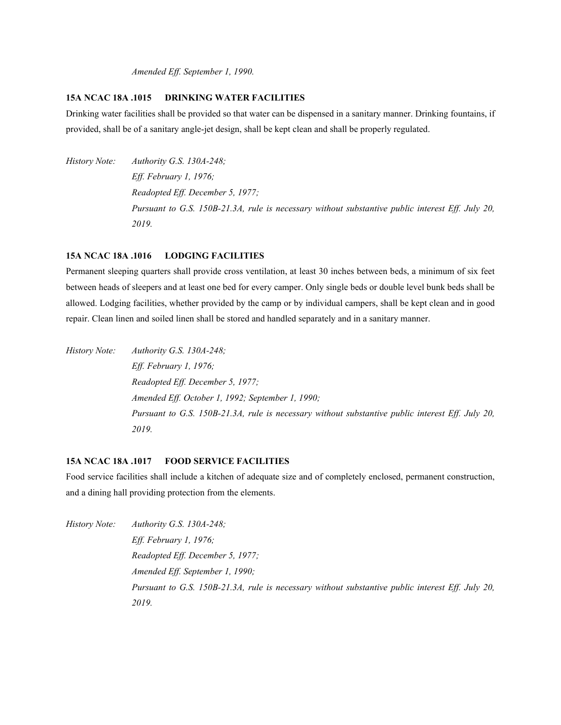*Amended Eff. September 1, 1990.*

# **15A NCAC 18A .1015 DRINKING WATER FACILITIES**

Drinking water facilities shall be provided so that water can be dispensed in a sanitary manner. Drinking fountains, if provided, shall be of a sanitary angle-jet design, shall be kept clean and shall be properly regulated.

*History Note: Authority G.S. 130A-248; Eff. February 1, 1976; Readopted Eff. December 5, 1977; Pursuant to G.S. 150B-21.3A, rule is necessary without substantive public interest Eff. July 20, 2019.*

# **15A NCAC 18A .1016 LODGING FACILITIES**

Permanent sleeping quarters shall provide cross ventilation, at least 30 inches between beds, a minimum of six feet between heads of sleepers and at least one bed for every camper. Only single beds or double level bunk beds shall be allowed. Lodging facilities, whether provided by the camp or by individual campers, shall be kept clean and in good repair. Clean linen and soiled linen shall be stored and handled separately and in a sanitary manner.

*History Note: Authority G.S. 130A-248; Eff. February 1, 1976; Readopted Eff. December 5, 1977; Amended Eff. October 1, 1992; September 1, 1990; Pursuant to G.S. 150B-21.3A, rule is necessary without substantive public interest Eff. July 20, 2019.*

### **15A NCAC 18A .1017 FOOD SERVICE FACILITIES**

Food service facilities shall include a kitchen of adequate size and of completely enclosed, permanent construction, and a dining hall providing protection from the elements.

*History Note: Authority G.S. 130A-248;*

*Eff. February 1, 1976; Readopted Eff. December 5, 1977; Amended Eff. September 1, 1990; Pursuant to G.S. 150B-21.3A, rule is necessary without substantive public interest Eff. July 20, 2019.*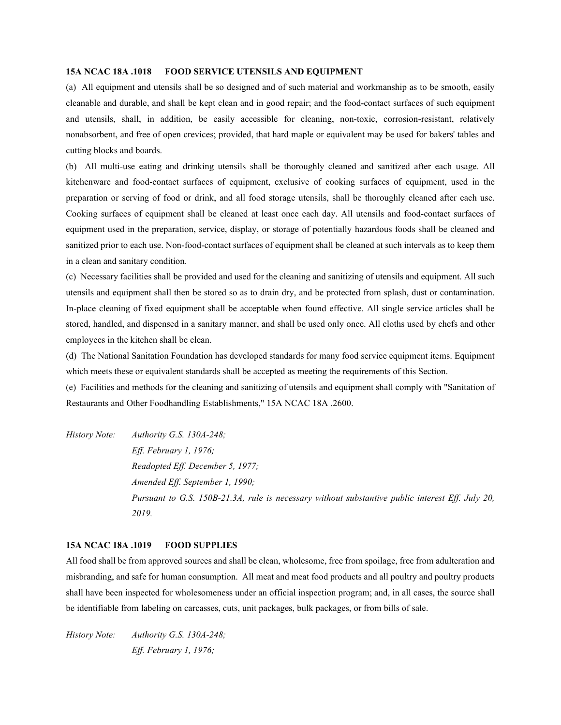# **15A NCAC 18A .1018 FOOD SERVICE UTENSILS AND EQUIPMENT**

(a) All equipment and utensils shall be so designed and of such material and workmanship as to be smooth, easily cleanable and durable, and shall be kept clean and in good repair; and the food-contact surfaces of such equipment and utensils, shall, in addition, be easily accessible for cleaning, non-toxic, corrosion-resistant, relatively nonabsorbent, and free of open crevices; provided, that hard maple or equivalent may be used for bakers' tables and cutting blocks and boards.

(b) All multi-use eating and drinking utensils shall be thoroughly cleaned and sanitized after each usage. All kitchenware and food-contact surfaces of equipment, exclusive of cooking surfaces of equipment, used in the preparation or serving of food or drink, and all food storage utensils, shall be thoroughly cleaned after each use. Cooking surfaces of equipment shall be cleaned at least once each day. All utensils and food-contact surfaces of equipment used in the preparation, service, display, or storage of potentially hazardous foods shall be cleaned and sanitized prior to each use. Non-food-contact surfaces of equipment shall be cleaned at such intervals as to keep them in a clean and sanitary condition.

(c) Necessary facilities shall be provided and used for the cleaning and sanitizing of utensils and equipment. All such utensils and equipment shall then be stored so as to drain dry, and be protected from splash, dust or contamination. In-place cleaning of fixed equipment shall be acceptable when found effective. All single service articles shall be stored, handled, and dispensed in a sanitary manner, and shall be used only once. All cloths used by chefs and other employees in the kitchen shall be clean.

(d) The National Sanitation Foundation has developed standards for many food service equipment items. Equipment which meets these or equivalent standards shall be accepted as meeting the requirements of this Section.

(e) Facilities and methods for the cleaning and sanitizing of utensils and equipment shall comply with "Sanitation of Restaurants and Other Foodhandling Establishments," 15A NCAC 18A .2600.

*History Note: Authority G.S. 130A-248; Eff. February 1, 1976; Readopted Eff. December 5, 1977; Amended Eff. September 1, 1990; Pursuant to G.S. 150B-21.3A, rule is necessary without substantive public interest Eff. July 20, 2019.*

### **15A NCAC 18A .1019 FOOD SUPPLIES**

All food shall be from approved sources and shall be clean, wholesome, free from spoilage, free from adulteration and misbranding, and safe for human consumption. All meat and meat food products and all poultry and poultry products shall have been inspected for wholesomeness under an official inspection program; and, in all cases, the source shall be identifiable from labeling on carcasses, cuts, unit packages, bulk packages, or from bills of sale.

*History Note: Authority G.S. 130A-248; Eff. February 1, 1976;*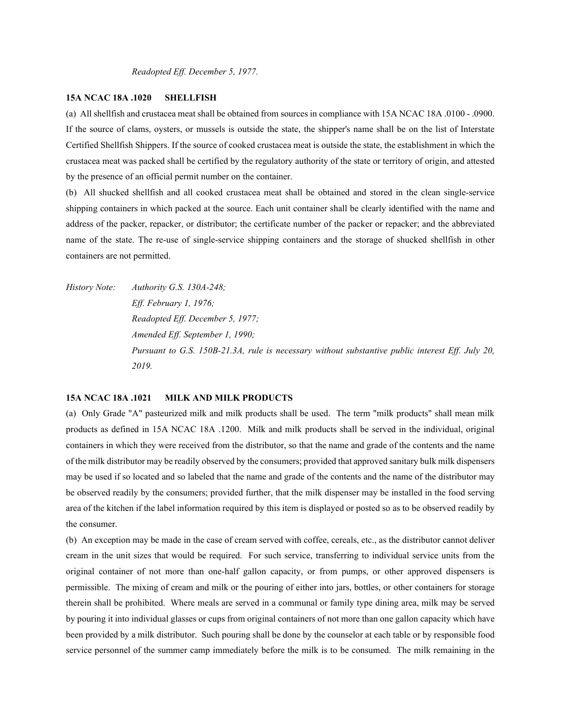# **15A NCAC 18A .1020 SHELLFISH**

(a) All shellfish and crustacea meat shall be obtained from sources in compliance with 15A NCAC 18A .0100 - .0900. If the source of clams, oysters, or mussels is outside the state, the shipper's name shall be on the list of Interstate Certified Shellfish Shippers. If the source of cooked crustacea meat is outside the state, the establishment in which the crustacea meat was packed shall be certified by the regulatory authority of the state or territory of origin, and attested by the presence of an official permit number on the container.

(b) All shucked shellfish and all cooked crustacea meat shall be obtained and stored in the clean single-service shipping containers in which packed at the source. Each unit container shall be clearly identified with the name and address of the packer, repacker, or distributor; the certificate number of the packer or repacker; and the abbreviated name of the state. The re-use of single-service shipping containers and the storage of shucked shellfish in other containers are not permitted.

*History Note: Authority G.S. 130A-248; Eff. February 1, 1976; Readopted Eff. December 5, 1977; Amended Eff. September 1, 1990; Pursuant to G.S. 150B-21.3A, rule is necessary without substantive public interest Eff. July 20, 2019.*

### **15A NCAC 18A .1021 MILK AND MILK PRODUCTS**

(a) Only Grade "A" pasteurized milk and milk products shall be used. The term "milk products" shall mean milk products as defined in 15A NCAC 18A .1200. Milk and milk products shall be served in the individual, original containers in which they were received from the distributor, so that the name and grade of the contents and the name of the milk distributor may be readily observed by the consumers; provided that approved sanitary bulk milk dispensers may be used if so located and so labeled that the name and grade of the contents and the name of the distributor may be observed readily by the consumers; provided further, that the milk dispenser may be installed in the food serving area of the kitchen if the label information required by this item is displayed or posted so as to be observed readily by the consumer.

(b) An exception may be made in the case of cream served with coffee, cereals, etc., as the distributor cannot deliver cream in the unit sizes that would be required. For such service, transferring to individual service units from the original container of not more than one-half gallon capacity, or from pumps, or other approved dispensers is permissible. The mixing of cream and milk or the pouring of either into jars, bottles, or other containers for storage therein shall be prohibited. Where meals are served in a communal or family type dining area, milk may be served by pouring it into individual glasses or cups from original containers of not more than one gallon capacity which have been provided by a milk distributor. Such pouring shall be done by the counselor at each table or by responsible food service personnel of the summer camp immediately before the milk is to be consumed. The milk remaining in the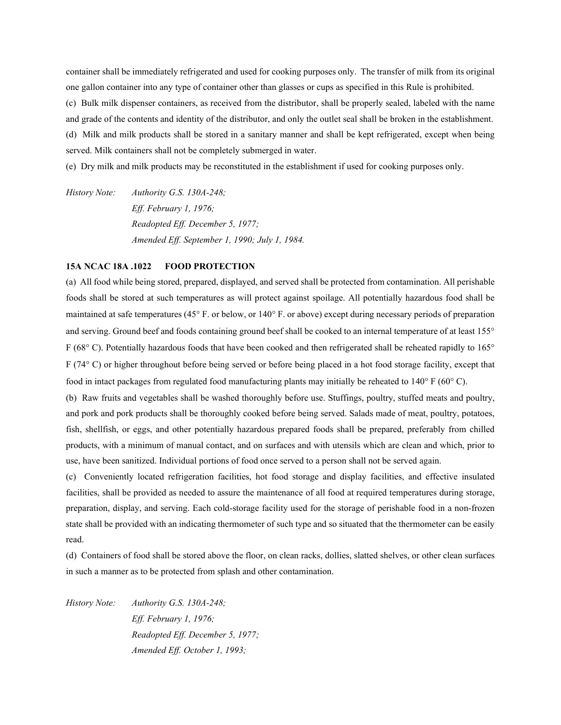container shall be immediately refrigerated and used for cooking purposes only. The transfer of milk from its original one gallon container into any type of container other than glasses or cups as specified in this Rule is prohibited.

(c) Bulk milk dispenser containers, as received from the distributor, shall be properly sealed, labeled with the name

and grade of the contents and identity of the distributor, and only the outlet seal shall be broken in the establishment.

(d) Milk and milk products shall be stored in a sanitary manner and shall be kept refrigerated, except when being served. Milk containers shall not be completely submerged in water.

(e) Dry milk and milk products may be reconstituted in the establishment if used for cooking purposes only.

*History Note: Authority G.S. 130A-248; Eff. February 1, 1976; Readopted Eff. December 5, 1977; Amended Eff. September 1, 1990; July 1, 1984.*

# **15A NCAC 18A .1022 FOOD PROTECTION**

(a) All food while being stored, prepared, displayed, and served shall be protected from contamination. All perishable foods shall be stored at such temperatures as will protect against spoilage. All potentially hazardous food shall be maintained at safe temperatures (45° F. or below, or 140° F. or above) except during necessary periods of preparation and serving. Ground beef and foods containing ground beef shall be cooked to an internal temperature of at least 155° F (68° C). Potentially hazardous foods that have been cooked and then refrigerated shall be reheated rapidly to 165° F (74° C) or higher throughout before being served or before being placed in a hot food storage facility, except that food in intact packages from regulated food manufacturing plants may initially be reheated to 140° F (60° C).

(b) Raw fruits and vegetables shall be washed thoroughly before use. Stuffings, poultry, stuffed meats and poultry, and pork and pork products shall be thoroughly cooked before being served. Salads made of meat, poultry, potatoes, fish, shellfish, or eggs, and other potentially hazardous prepared foods shall be prepared, preferably from chilled products, with a minimum of manual contact, and on surfaces and with utensils which are clean and which, prior to use, have been sanitized. Individual portions of food once served to a person shall not be served again.

(c) Conveniently located refrigeration facilities, hot food storage and display facilities, and effective insulated facilities, shall be provided as needed to assure the maintenance of all food at required temperatures during storage, preparation, display, and serving. Each cold-storage facility used for the storage of perishable food in a non-frozen state shall be provided with an indicating thermometer of such type and so situated that the thermometer can be easily read.

(d) Containers of food shall be stored above the floor, on clean racks, dollies, slatted shelves, or other clean surfaces in such a manner as to be protected from splash and other contamination.

*History Note: Authority G.S. 130A-248; Eff. February 1, 1976; Readopted Eff. December 5, 1977; Amended Eff. October 1, 1993;*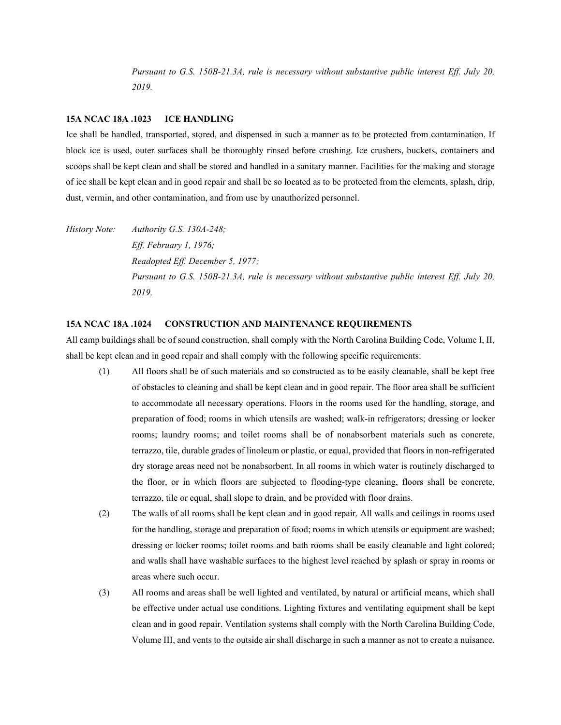*Pursuant to G.S. 150B-21.3A, rule is necessary without substantive public interest Eff. July 20, 2019.*

### **15A NCAC 18A .1023 ICE HANDLING**

Ice shall be handled, transported, stored, and dispensed in such a manner as to be protected from contamination. If block ice is used, outer surfaces shall be thoroughly rinsed before crushing. Ice crushers, buckets, containers and scoops shall be kept clean and shall be stored and handled in a sanitary manner. Facilities for the making and storage of ice shall be kept clean and in good repair and shall be so located as to be protected from the elements, splash, drip, dust, vermin, and other contamination, and from use by unauthorized personnel.

*History Note: Authority G.S. 130A-248; Eff. February 1, 1976; Readopted Eff. December 5, 1977; Pursuant to G.S. 150B-21.3A, rule is necessary without substantive public interest Eff. July 20, 2019.*

### **15A NCAC 18A .1024 CONSTRUCTION AND MAINTENANCE REQUIREMENTS**

All camp buildings shall be of sound construction, shall comply with the North Carolina Building Code, Volume I, II, shall be kept clean and in good repair and shall comply with the following specific requirements:

- (1) All floors shall be of such materials and so constructed as to be easily cleanable, shall be kept free of obstacles to cleaning and shall be kept clean and in good repair. The floor area shall be sufficient to accommodate all necessary operations. Floors in the rooms used for the handling, storage, and preparation of food; rooms in which utensils are washed; walk-in refrigerators; dressing or locker rooms; laundry rooms; and toilet rooms shall be of nonabsorbent materials such as concrete, terrazzo, tile, durable grades of linoleum or plastic, or equal, provided that floors in non-refrigerated dry storage areas need not be nonabsorbent. In all rooms in which water is routinely discharged to the floor, or in which floors are subjected to flooding-type cleaning, floors shall be concrete, terrazzo, tile or equal, shall slope to drain, and be provided with floor drains.
- (2) The walls of all rooms shall be kept clean and in good repair. All walls and ceilings in rooms used for the handling, storage and preparation of food; rooms in which utensils or equipment are washed; dressing or locker rooms; toilet rooms and bath rooms shall be easily cleanable and light colored; and walls shall have washable surfaces to the highest level reached by splash or spray in rooms or areas where such occur.
- (3) All rooms and areas shall be well lighted and ventilated, by natural or artificial means, which shall be effective under actual use conditions. Lighting fixtures and ventilating equipment shall be kept clean and in good repair. Ventilation systems shall comply with the North Carolina Building Code, Volume III, and vents to the outside air shall discharge in such a manner as not to create a nuisance.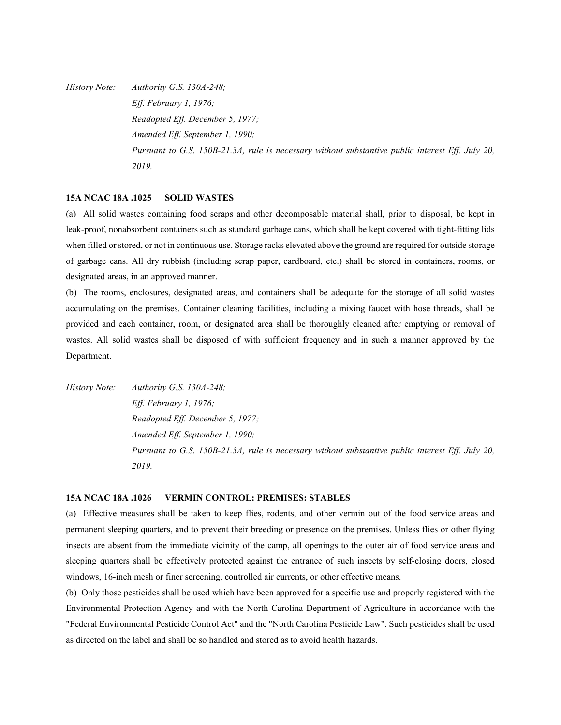*History Note: Authority G.S. 130A-248; Eff. February 1, 1976; Readopted Eff. December 5, 1977; Amended Eff. September 1, 1990; Pursuant to G.S. 150B-21.3A, rule is necessary without substantive public interest Eff. July 20, 2019.*

# **15A NCAC 18A .1025 SOLID WASTES**

(a) All solid wastes containing food scraps and other decomposable material shall, prior to disposal, be kept in leak-proof, nonabsorbent containers such as standard garbage cans, which shall be kept covered with tight-fitting lids when filled or stored, or not in continuous use. Storage racks elevated above the ground are required for outside storage of garbage cans. All dry rubbish (including scrap paper, cardboard, etc.) shall be stored in containers, rooms, or designated areas, in an approved manner.

(b) The rooms, enclosures, designated areas, and containers shall be adequate for the storage of all solid wastes accumulating on the premises. Container cleaning facilities, including a mixing faucet with hose threads, shall be provided and each container, room, or designated area shall be thoroughly cleaned after emptying or removal of wastes. All solid wastes shall be disposed of with sufficient frequency and in such a manner approved by the Department.

*History Note: Authority G.S. 130A-248; Eff. February 1, 1976; Readopted Eff. December 5, 1977; Amended Eff. September 1, 1990; Pursuant to G.S. 150B-21.3A, rule is necessary without substantive public interest Eff. July 20, 2019.*

# **15A NCAC 18A .1026 VERMIN CONTROL: PREMISES: STABLES**

(a) Effective measures shall be taken to keep flies, rodents, and other vermin out of the food service areas and permanent sleeping quarters, and to prevent their breeding or presence on the premises. Unless flies or other flying insects are absent from the immediate vicinity of the camp, all openings to the outer air of food service areas and sleeping quarters shall be effectively protected against the entrance of such insects by self-closing doors, closed windows, 16-inch mesh or finer screening, controlled air currents, or other effective means.

(b) Only those pesticides shall be used which have been approved for a specific use and properly registered with the Environmental Protection Agency and with the North Carolina Department of Agriculture in accordance with the "Federal Environmental Pesticide Control Act" and the "North Carolina Pesticide Law". Such pesticides shall be used as directed on the label and shall be so handled and stored as to avoid health hazards.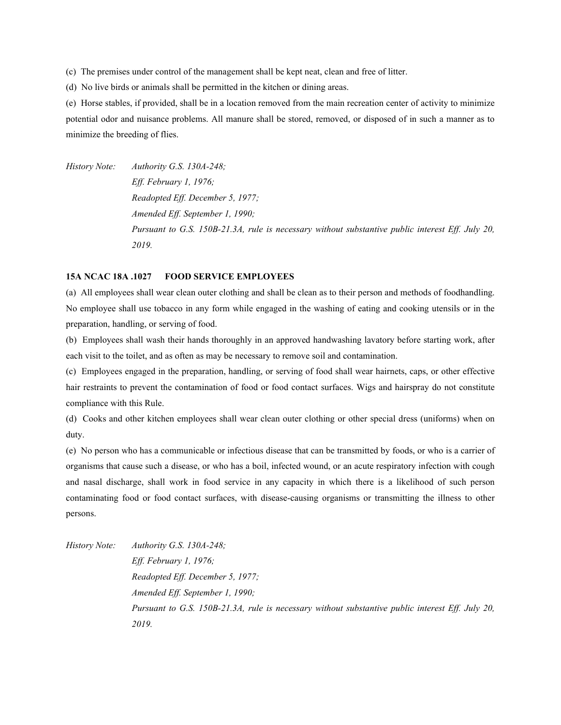(c) The premises under control of the management shall be kept neat, clean and free of litter.

(d) No live birds or animals shall be permitted in the kitchen or dining areas.

(e) Horse stables, if provided, shall be in a location removed from the main recreation center of activity to minimize potential odor and nuisance problems. All manure shall be stored, removed, or disposed of in such a manner as to minimize the breeding of flies.

*History Note: Authority G.S. 130A-248; Eff. February 1, 1976; Readopted Eff. December 5, 1977; Amended Eff. September 1, 1990; Pursuant to G.S. 150B-21.3A, rule is necessary without substantive public interest Eff. July 20, 2019.*

# **15A NCAC 18A .1027 FOOD SERVICE EMPLOYEES**

(a) All employees shall wear clean outer clothing and shall be clean as to their person and methods of foodhandling. No employee shall use tobacco in any form while engaged in the washing of eating and cooking utensils or in the preparation, handling, or serving of food.

(b) Employees shall wash their hands thoroughly in an approved handwashing lavatory before starting work, after each visit to the toilet, and as often as may be necessary to remove soil and contamination.

(c) Employees engaged in the preparation, handling, or serving of food shall wear hairnets, caps, or other effective hair restraints to prevent the contamination of food or food contact surfaces. Wigs and hairspray do not constitute compliance with this Rule.

(d) Cooks and other kitchen employees shall wear clean outer clothing or other special dress (uniforms) when on duty.

(e) No person who has a communicable or infectious disease that can be transmitted by foods, or who is a carrier of organisms that cause such a disease, or who has a boil, infected wound, or an acute respiratory infection with cough and nasal discharge, shall work in food service in any capacity in which there is a likelihood of such person contaminating food or food contact surfaces, with disease-causing organisms or transmitting the illness to other persons.

*History Note: Authority G.S. 130A-248; Eff. February 1, 1976; Readopted Eff. December 5, 1977; Amended Eff. September 1, 1990; Pursuant to G.S. 150B-21.3A, rule is necessary without substantive public interest Eff. July 20, 2019.*